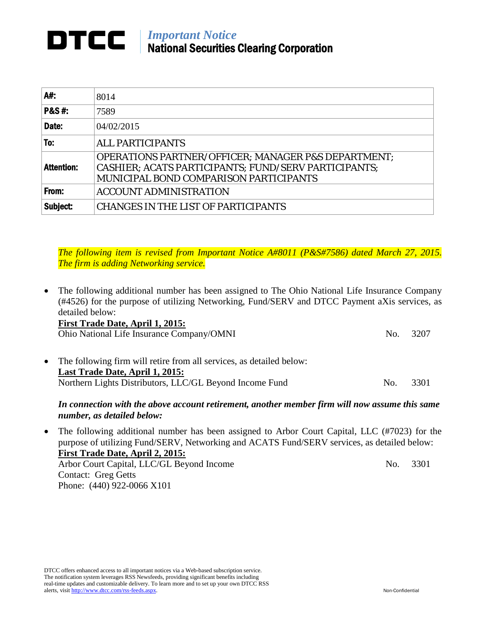## *Important Notice* National Securities Clearing Corporation

| A#:               | 8014                                                                                                                                                                    |
|-------------------|-------------------------------------------------------------------------------------------------------------------------------------------------------------------------|
| <b>P&amp;S#:</b>  | 7589                                                                                                                                                                    |
| Date:             | 04/02/2015                                                                                                                                                              |
| To:               | <b>ALL PARTICIPANTS</b>                                                                                                                                                 |
| <b>Attention:</b> | <b>OPERATIONS PARTNER/OFFICER; MANAGER P&amp;S DEPARTMENT;</b><br>CASHIER; ACATS PARTICIPANTS; FUND/SERV PARTICIPANTS;<br><b>MUNICIPAL BOND COMPARISON PARTICIPANTS</b> |
| From:             | <b>ACCOUNT ADMINISTRATION</b>                                                                                                                                           |
| Subject:          | <b>CHANGES IN THE LIST OF PARTICIPANTS</b>                                                                                                                              |

*The following item is revised from Important Notice A#8011 (P&S#7586) dated March 27, 2015. The firm is adding Networking service.*

- The following additional number has been assigned to The Ohio National Life Insurance Company (#4526) for the purpose of utilizing Networking, Fund/SERV and DTCC Payment aXis services, as detailed below: **First Trade Date, April 1, 2015:** Ohio National Life Insurance Company/OMNI No. 3207 • The following firm will retire from all services, as detailed below: **Last Trade Date, April 1, 2015:**
	- Northern Lights Distributors, LLC/GL Beyond Income Fund No. 3301

## *In connection with the above account retirement, another member firm will now assume this same number, as detailed below:*

• The following additional number has been assigned to Arbor Court Capital, LLC (#7023) for the purpose of utilizing Fund/SERV, Networking and ACATS Fund/SERV services, as detailed below: **First Trade Date, April 2, 2015:** Arbor Court Capital, LLC/GL Beyond Income No. 3301 Contact: Greg Getts

DTCC offers enhanced access to all important notices via a Web-based subscription service. The notification system leverages RSS Newsfeeds, providing significant benefits including real-time updates and customizable delivery. To learn more and to set up your own DTCC RSS alerts, visi[t http://www.dtcc.com/rss-feeds.aspx.](http://www.dtcc.com/subscription_form.php) Non-Confidential

Phone: (440) 922-0066 X101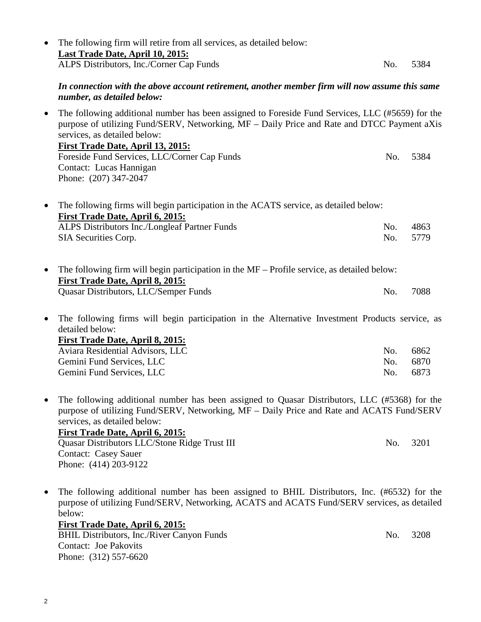|           | The following firm will retire from all services, as detailed below:<br>Last Trade Date, April 10, 2015:                                                                                                                                                                    |     |      |
|-----------|-----------------------------------------------------------------------------------------------------------------------------------------------------------------------------------------------------------------------------------------------------------------------------|-----|------|
|           | ALPS Distributors, Inc./Corner Cap Funds                                                                                                                                                                                                                                    | No. | 5384 |
|           | In connection with the above account retirement, another member firm will now assume this same<br>number, as detailed below:                                                                                                                                                |     |      |
| $\bullet$ | The following additional number has been assigned to Foreside Fund Services, LLC (#5659) for the<br>purpose of utilizing Fund/SERV, Networking, MF – Daily Price and Rate and DTCC Payment aXis<br>services, as detailed below:<br><u>First Trade Date, April 13, 2015:</u> |     |      |
|           | Foreside Fund Services, LLC/Corner Cap Funds<br>Contact: Lucas Hannigan<br>Phone: (207) 347-2047                                                                                                                                                                            | No. | 5384 |
| $\bullet$ | The following firms will begin participation in the ACATS service, as detailed below:<br><b>First Trade Date, April 6, 2015:</b>                                                                                                                                            |     |      |
|           | ALPS Distributors Inc./Longleaf Partner Funds                                                                                                                                                                                                                               | No. | 4863 |
|           | SIA Securities Corp.                                                                                                                                                                                                                                                        | No. | 5779 |
| $\bullet$ | The following firm will begin participation in the MF – Profile service, as detailed below:<br>First Trade Date, April 8, 2015:                                                                                                                                             |     |      |
|           | Quasar Distributors, LLC/Semper Funds                                                                                                                                                                                                                                       | No. | 7088 |
| $\bullet$ | The following firms will begin participation in the Alternative Investment Products service, as<br>detailed below:<br><u>First Trade Date, April 8, 2015:</u>                                                                                                               |     |      |
|           | Aviara Residential Advisors, LLC                                                                                                                                                                                                                                            | No. | 6862 |
|           | Gemini Fund Services, LLC                                                                                                                                                                                                                                                   | No. | 6870 |
|           | Gemini Fund Services, LLC                                                                                                                                                                                                                                                   | No. | 6873 |
| ٠         | The following additional number has been assigned to Quasar Distributors, LLC (#5368) for the<br>purpose of utilizing Fund/SERV, Networking, MF - Daily Price and Rate and ACATS Fund/SERV<br>services, as detailed below:<br>First Trade Date, April 6, 2015:              |     |      |
|           | Quasar Distributors LLC/Stone Ridge Trust III<br><b>Contact: Casey Sauer</b><br>Phone: (414) 203-9122                                                                                                                                                                       | No. | 3201 |
|           | The following additional number has been assigned to BHIL Distributors, Inc. (#6532) for the                                                                                                                                                                                |     |      |

purpose of utilizing Fund/SERV, Networking, ACATS and ACATS Fund/SERV services, as detailed

below: **First Trade Date, April 6, 2015:**

BHIL Distributors, Inc./River Canyon Funds No. 3208 Contact: Joe Pakovits Phone: (312) 557-6620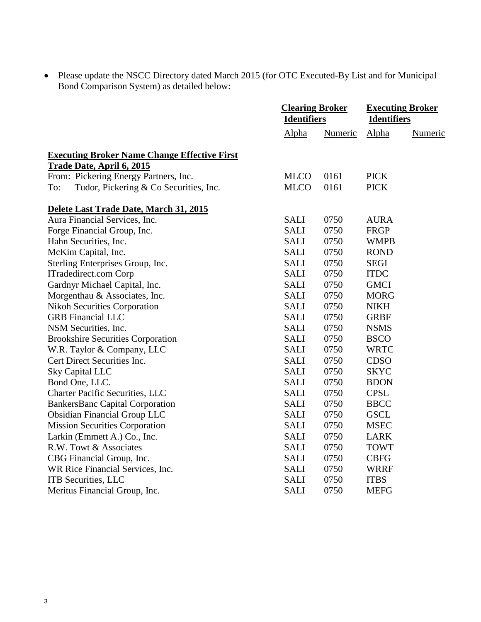• Please update the NSCC Directory dated March 2015 (for OTC Executed-By List and for Municipal Bond Comparison System) as detailed below:

|                                                                                         | <b>Clearing Broker</b><br><b>Identifiers</b> |         | <b>Executing Broker</b><br><b>Identifiers</b> |         |
|-----------------------------------------------------------------------------------------|----------------------------------------------|---------|-----------------------------------------------|---------|
|                                                                                         | Alpha                                        | Numeric | Alpha                                         | Numeric |
| <b>Executing Broker Name Change Effective First</b><br><b>Trade Date, April 6, 2015</b> |                                              |         |                                               |         |
| From: Pickering Energy Partners, Inc.                                                   | <b>MLCO</b>                                  | 0161    | <b>PICK</b>                                   |         |
| Tudor, Pickering & Co Securities, Inc.<br>To:                                           | <b>MLCO</b>                                  | 0161    | <b>PICK</b>                                   |         |
| Delete Last Trade Date, March 31, 2015                                                  |                                              |         |                                               |         |
| Aura Financial Services, Inc.                                                           | <b>SALI</b>                                  | 0750    | <b>AURA</b>                                   |         |
| Forge Financial Group, Inc.                                                             | <b>SALI</b>                                  | 0750    | FRGP                                          |         |
| Hahn Securities, Inc.                                                                   | <b>SALI</b>                                  | 0750    | <b>WMPB</b>                                   |         |
| McKim Capital, Inc.                                                                     | <b>SALI</b>                                  | 0750    | <b>ROND</b>                                   |         |
| Sterling Enterprises Group, Inc.                                                        | <b>SALI</b>                                  | 0750    | <b>SEGI</b>                                   |         |
| ITradedirect.com Corp                                                                   | <b>SALI</b>                                  | 0750    | <b>ITDC</b>                                   |         |
| Gardnyr Michael Capital, Inc.                                                           | <b>SALI</b>                                  | 0750    | <b>GMCI</b>                                   |         |
| Morgenthau & Associates, Inc.                                                           | <b>SALI</b>                                  | 0750    | <b>MORG</b>                                   |         |
| <b>Nikoh Securities Corporation</b>                                                     | <b>SALI</b>                                  | 0750    | <b>NIKH</b>                                   |         |
| <b>GRB</b> Financial LLC                                                                | <b>SALI</b>                                  | 0750    | <b>GRBF</b>                                   |         |
| NSM Securities, Inc.                                                                    | <b>SALI</b>                                  | 0750    | <b>NSMS</b>                                   |         |
| <b>Brookshire Securities Corporation</b>                                                | <b>SALI</b>                                  | 0750    | <b>BSCO</b>                                   |         |
| W.R. Taylor & Company, LLC                                                              | <b>SALI</b>                                  | 0750    | <b>WRTC</b>                                   |         |
| Cert Direct Securities Inc.                                                             | <b>SALI</b>                                  | 0750    | <b>CDSO</b>                                   |         |
| Sky Capital LLC                                                                         | <b>SALI</b>                                  | 0750    | <b>SKYC</b>                                   |         |
| Bond One, LLC.                                                                          | <b>SALI</b>                                  | 0750    | <b>BDON</b>                                   |         |
| <b>Charter Pacific Securities, LLC</b>                                                  | <b>SALI</b>                                  | 0750    | <b>CPSL</b>                                   |         |
| <b>BankersBanc Capital Corporation</b>                                                  | <b>SALI</b>                                  | 0750    | <b>BBCC</b>                                   |         |
| <b>Obsidian Financial Group LLC</b>                                                     | <b>SALI</b>                                  | 0750    | <b>GSCL</b>                                   |         |
| <b>Mission Securities Corporation</b>                                                   | <b>SALI</b>                                  | 0750    | <b>MSEC</b>                                   |         |
| Larkin (Emmett A.) Co., Inc.                                                            | <b>SALI</b>                                  | 0750    | <b>LARK</b>                                   |         |
| R.W. Towt & Associates                                                                  | <b>SALI</b>                                  | 0750    | <b>TOWT</b>                                   |         |
| CBG Financial Group, Inc.                                                               | <b>SALI</b>                                  | 0750    | <b>CBFG</b>                                   |         |
| WR Rice Financial Services, Inc.                                                        | SALI                                         | 0750    | <b>WRRF</b>                                   |         |
| ITB Securities, LLC                                                                     | <b>SALI</b>                                  | 0750    | <b>ITBS</b>                                   |         |
| Meritus Financial Group, Inc.                                                           | <b>SALI</b>                                  | 0750    | <b>MEFG</b>                                   |         |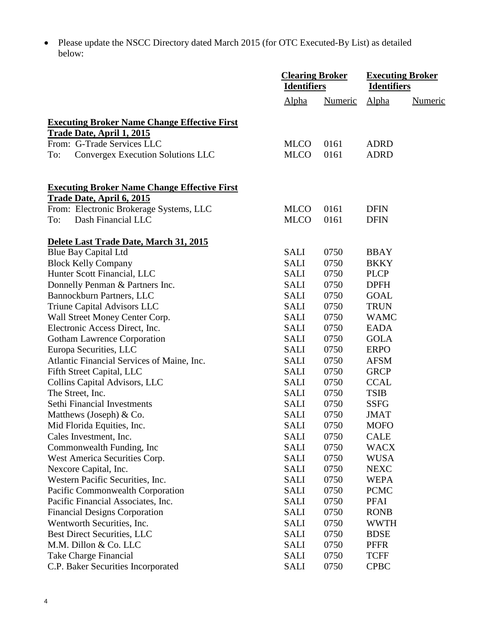• Please update the NSCC Directory dated March 2015 (for OTC Executed-By List) as detailed below:

|                                                                                  | <b>Clearing Broker</b><br><b>Identifiers</b> |         | <b>Executing Broker</b><br><b>Identifiers</b> |         |
|----------------------------------------------------------------------------------|----------------------------------------------|---------|-----------------------------------------------|---------|
|                                                                                  | Alpha                                        | Numeric | Alpha                                         | Numeric |
| <b>Executing Broker Name Change Effective First</b><br>Trade Date, April 1, 2015 |                                              |         |                                               |         |
| From: G-Trade Services LLC                                                       | <b>MLCO</b>                                  | 0161    | <b>ADRD</b>                                   |         |
| Convergex Execution Solutions LLC<br>To:                                         | <b>MLCO</b>                                  | 0161    | <b>ADRD</b>                                   |         |
| <b>Executing Broker Name Change Effective First</b>                              |                                              |         |                                               |         |
| <u>Trade Date, April 6, 2015</u>                                                 |                                              |         |                                               |         |
| From: Electronic Brokerage Systems, LLC                                          | <b>MLCO</b>                                  | 0161    | <b>DFIN</b>                                   |         |
| Dash Financial LLC<br>To:                                                        | <b>MLCO</b>                                  | 0161    | <b>DFIN</b>                                   |         |
| Delete Last Trade Date, March 31, 2015                                           |                                              |         |                                               |         |
| <b>Blue Bay Capital Ltd</b>                                                      | <b>SALI</b>                                  | 0750    | <b>BBAY</b>                                   |         |
| <b>Block Kelly Company</b>                                                       | <b>SALI</b>                                  | 0750    | <b>BKKY</b>                                   |         |
| Hunter Scott Financial, LLC                                                      | <b>SALI</b>                                  | 0750    | <b>PLCP</b>                                   |         |
| Donnelly Penman & Partners Inc.                                                  | <b>SALI</b>                                  | 0750    | <b>DPFH</b>                                   |         |
| Bannockburn Partners, LLC                                                        | <b>SALI</b>                                  | 0750    | <b>GOAL</b>                                   |         |
| Triune Capital Advisors LLC                                                      | <b>SALI</b>                                  | 0750    | <b>TRUN</b>                                   |         |
| Wall Street Money Center Corp.                                                   | SALI                                         | 0750    | <b>WAMC</b>                                   |         |
| Electronic Access Direct, Inc.                                                   | SALI                                         | 0750    | <b>EADA</b>                                   |         |
| <b>Gotham Lawrence Corporation</b>                                               | <b>SALI</b>                                  | 0750    | <b>GOLA</b>                                   |         |
| Europa Securities, LLC                                                           | <b>SALI</b>                                  | 0750    | <b>ERPO</b>                                   |         |
| Atlantic Financial Services of Maine, Inc.                                       | <b>SALI</b>                                  | 0750    | <b>AFSM</b>                                   |         |
| Fifth Street Capital, LLC                                                        | <b>SALI</b>                                  | 0750    | <b>GRCP</b>                                   |         |
| Collins Capital Advisors, LLC                                                    | <b>SALI</b>                                  | 0750    | <b>CCAL</b>                                   |         |
| The Street, Inc.                                                                 | <b>SALI</b>                                  | 0750    | <b>TSIB</b>                                   |         |
| Sethi Financial Investments                                                      | <b>SALI</b>                                  | 0750    | <b>SSFG</b>                                   |         |
| Matthews (Joseph) & Co.                                                          | <b>SALI</b>                                  | 0750    | <b>JMAT</b>                                   |         |
| Mid Florida Equities, Inc.                                                       | <b>SALI</b>                                  | 0750    | <b>MOFO</b>                                   |         |
| Cales Investment, Inc.                                                           | <b>SALI</b>                                  | 0750    | <b>CALE</b>                                   |         |
| Commonwealth Funding, Inc                                                        | <b>SALI</b>                                  | 0750    | <b>WACX</b>                                   |         |
| West America Securities Corp.                                                    | SALI                                         | 0750    | <b>WUSA</b>                                   |         |
| Nexcore Capital, Inc.                                                            | SALI                                         | 0750    | <b>NEXC</b>                                   |         |
| Western Pacific Securities, Inc.                                                 | <b>SALI</b>                                  | 0750    | <b>WEPA</b>                                   |         |
| Pacific Commonwealth Corporation                                                 | <b>SALI</b>                                  | 0750    | <b>PCMC</b>                                   |         |
| Pacific Financial Associates, Inc.                                               | <b>SALI</b>                                  | 0750    | <b>PFAI</b>                                   |         |
| <b>Financial Designs Corporation</b>                                             | SALI                                         | 0750    | <b>RONB</b>                                   |         |
| Wentworth Securities, Inc.                                                       | <b>SALI</b>                                  | 0750    | <b>WWTH</b>                                   |         |
| <b>Best Direct Securities, LLC</b>                                               | SALI                                         | 0750    | <b>BDSE</b>                                   |         |
| M.M. Dillon & Co. LLC                                                            | SALI                                         | 0750    | <b>PFFR</b>                                   |         |
|                                                                                  |                                              |         |                                               |         |
| Take Charge Financial                                                            | <b>SALI</b>                                  | 0750    | <b>TCFF</b>                                   |         |
| C.P. Baker Securities Incorporated                                               | <b>SALI</b>                                  | 0750    | <b>CPBC</b>                                   |         |